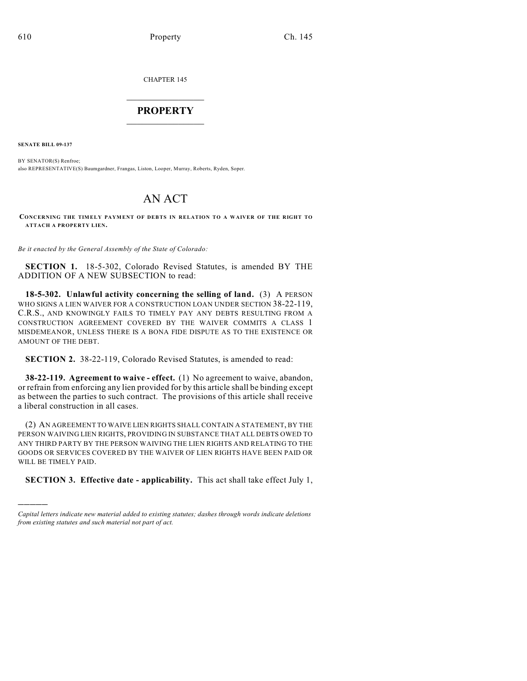CHAPTER 145

## $\mathcal{L}_\text{max}$  . The set of the set of the set of the set of the set of the set of the set of the set of the set of the set of the set of the set of the set of the set of the set of the set of the set of the set of the set **PROPERTY**  $\_$   $\_$   $\_$   $\_$   $\_$   $\_$   $\_$   $\_$   $\_$

**SENATE BILL 09-137**

)))))

BY SENATOR(S) Renfroe; also REPRESENTATIVE(S) Baumgardner, Frangas, Liston, Looper, Murray, Roberts, Ryden, Soper.

## AN ACT

## **CONCERNING THE TIMELY PAYMENT OF DEBTS IN RELATION TO A WAIVER OF THE RIGHT TO ATTACH A PROPERTY LIEN.**

*Be it enacted by the General Assembly of the State of Colorado:*

**SECTION 1.** 18-5-302, Colorado Revised Statutes, is amended BY THE ADDITION OF A NEW SUBSECTION to read:

**18-5-302. Unlawful activity concerning the selling of land.** (3) A PERSON WHO SIGNS A LIEN WAIVER FOR A CONSTRUCTION LOAN UNDER SECTION 38-22-119, C.R.S., AND KNOWINGLY FAILS TO TIMELY PAY ANY DEBTS RESULTING FROM A CONSTRUCTION AGREEMENT COVERED BY THE WAIVER COMMITS A CLASS 1 MISDEMEANOR, UNLESS THERE IS A BONA FIDE DISPUTE AS TO THE EXISTENCE OR AMOUNT OF THE DEBT.

**SECTION 2.** 38-22-119, Colorado Revised Statutes, is amended to read:

**38-22-119. Agreement to waive - effect.** (1) No agreement to waive, abandon, or refrain from enforcing any lien provided for by this article shall be binding except as between the parties to such contract. The provisions of this article shall receive a liberal construction in all cases.

(2) AN AGREEMENT TO WAIVE LIEN RIGHTS SHALL CONTAIN A STATEMENT, BY THE PERSON WAIVING LIEN RIGHTS, PROVIDING IN SUBSTANCE THAT ALL DEBTS OWED TO ANY THIRD PARTY BY THE PERSON WAIVING THE LIEN RIGHTS AND RELATING TO THE GOODS OR SERVICES COVERED BY THE WAIVER OF LIEN RIGHTS HAVE BEEN PAID OR WILL BE TIMELY PAID.

**SECTION 3. Effective date - applicability.** This act shall take effect July 1,

*Capital letters indicate new material added to existing statutes; dashes through words indicate deletions from existing statutes and such material not part of act.*